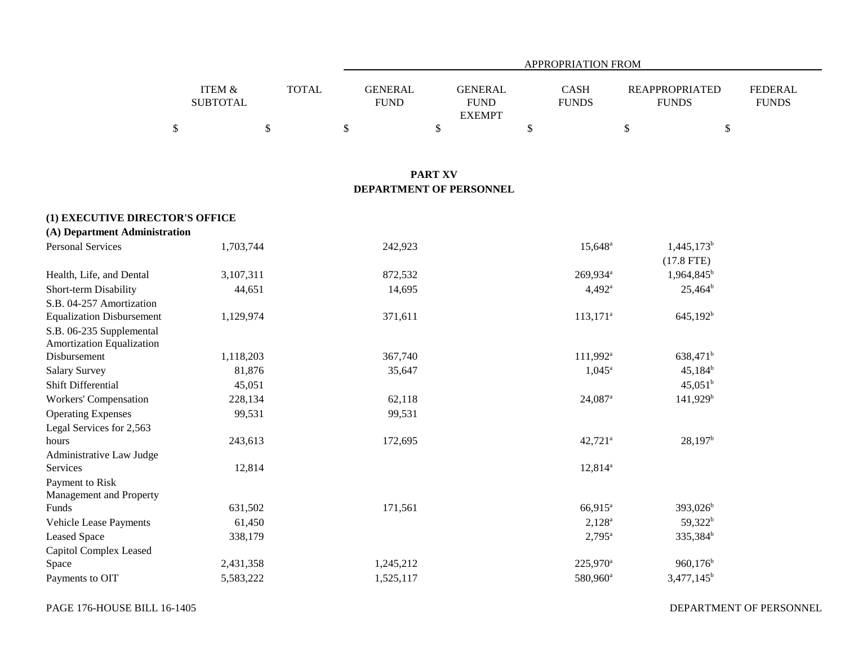|                           |              | APPROPRIATION FROM            |                        |  |                             |                                       |                         |  |  |  |  |
|---------------------------|--------------|-------------------------------|------------------------|--|-----------------------------|---------------------------------------|-------------------------|--|--|--|--|
| ITEM &<br><b>SUBTOTAL</b> | <b>TOTAL</b> | <b>GENERAL</b><br><b>FUND</b> | GENERAL<br><b>FUND</b> |  | <b>CASH</b><br><b>FUNDS</b> | <b>REAPPROPRIATED</b><br><b>FUNDS</b> | FEDERAL<br><b>FUNDS</b> |  |  |  |  |
|                           |              |                               | <b>EXEMPT</b>          |  |                             |                                       |                         |  |  |  |  |
|                           |              |                               |                        |  |                             |                                       |                         |  |  |  |  |

### **PART XV DEPARTMENT OF PERSONNEL**

| (1) EXECUTIVE DIRECTOR'S OFFICE  |           |           |                       |                        |
|----------------------------------|-----------|-----------|-----------------------|------------------------|
| (A) Department Administration    |           |           |                       |                        |
| <b>Personal Services</b>         | 1,703,744 | 242,923   | 15,648 <sup>a</sup>   | $1,445,173^b$          |
|                                  |           |           |                       | $(17.8$ FTE)           |
| Health, Life, and Dental         | 3,107,311 | 872,532   | 269,934 <sup>a</sup>  | $1,964,845^b$          |
| Short-term Disability            | 44,651    | 14,695    | $4,492^{\rm a}$       | $25,464^b$             |
| S.B. 04-257 Amortization         |           |           |                       |                        |
| <b>Equalization Disbursement</b> | 1,129,974 | 371,611   | $113,171^a$           | $645,192^b$            |
| S.B. 06-235 Supplemental         |           |           |                       |                        |
| Amortization Equalization        |           |           |                       |                        |
| Disbursement                     | 1,118,203 | 367,740   | $111,992^{\text{a}}$  | 638,471 <sup>b</sup>   |
| <b>Salary Survey</b>             | 81,876    | 35,647    | $1,045^{\circ}$       | $45,184^b$             |
| Shift Differential               | 45,051    |           |                       | $45,051^{\rm b}$       |
| Workers' Compensation            | 228,134   | 62,118    | $24,087$ <sup>a</sup> | $141,929$ <sup>b</sup> |
| <b>Operating Expenses</b>        | 99,531    | 99,531    |                       |                        |
| Legal Services for 2,563         |           |           |                       |                        |
| hours                            | 243,613   | 172,695   | $42,721$ <sup>a</sup> | $28,197^b$             |
| Administrative Law Judge         |           |           |                       |                        |
| <b>Services</b>                  | 12,814    |           | $12,814^a$            |                        |
| Payment to Risk                  |           |           |                       |                        |
| Management and Property          |           |           |                       |                        |
| Funds                            | 631,502   | 171,561   | 66,915 <sup>a</sup>   | 393,026 <sup>b</sup>   |
| Vehicle Lease Payments           | 61,450    |           | $2,128^a$             | $59,322^b$             |
| Leased Space                     | 338,179   |           | $2,795^{\circ}$       | $335,384^b$            |
| Capitol Complex Leased           |           |           |                       |                        |
| Space                            | 2,431,358 | 1,245,212 | $225,970^{\circ}$     | $960,176^b$            |
| Payments to OIT                  | 5,583,222 | 1,525,117 | 580,960 <sup>a</sup>  | $3,477,145^b$          |

DEPARTMENT OF PERSONNEL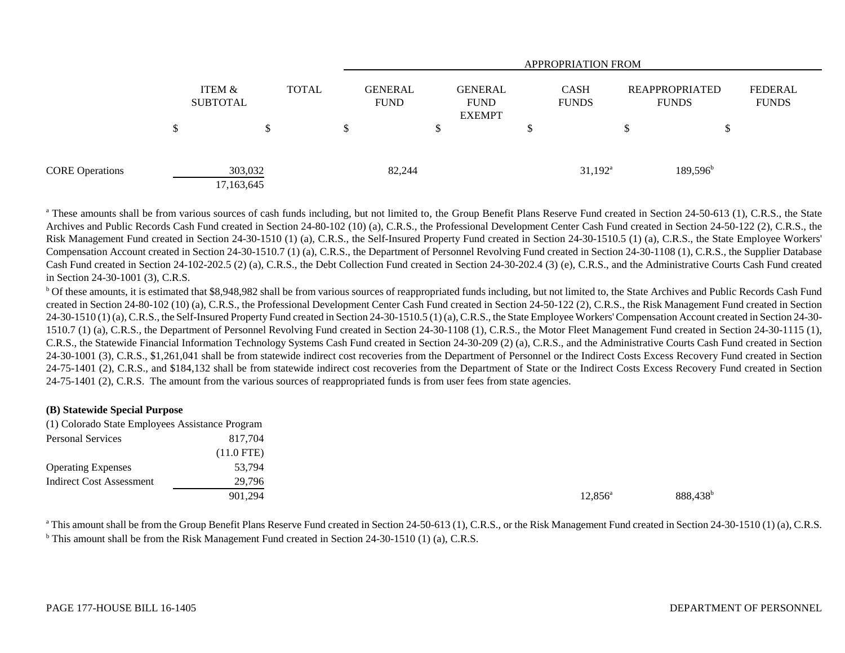|                        |   |                           |              | <b>APPROPRIATION FROM</b>     |    |                                                |  |                             |  |                                       |                                |  |  |
|------------------------|---|---------------------------|--------------|-------------------------------|----|------------------------------------------------|--|-----------------------------|--|---------------------------------------|--------------------------------|--|--|
|                        |   | ITEM &<br><b>SUBTOTAL</b> | <b>TOTAL</b> | <b>GENERAL</b><br><b>FUND</b> |    | <b>GENERAL</b><br><b>FUND</b><br><b>EXEMPT</b> |  | <b>CASH</b><br><b>FUNDS</b> |  | <b>REAPPROPRIATED</b><br><b>FUNDS</b> | <b>FEDERAL</b><br><b>FUNDS</b> |  |  |
|                        | Φ | J.                        | \$           |                               | \$ |                                                |  |                             |  |                                       |                                |  |  |
| <b>CORE Operations</b> |   | 303,032<br>17,163,645     |              | 82,244                        |    |                                                |  | $31,192^{\rm a}$            |  | $189,596^{\rm b}$                     |                                |  |  |

<sup>a</sup> These amounts shall be from various sources of cash funds including, but not limited to, the Group Benefit Plans Reserve Fund created in Section 24-50-613 (1), C.R.S., the State Archives and Public Records Cash Fund created in Section 24-80-102 (10) (a), C.R.S., the Professional Development Center Cash Fund created in Section 24-50-122 (2), C.R.S., the Risk Management Fund created in Section 24-30-1510 (1) (a), C.R.S., the Self-Insured Property Fund created in Section 24-30-1510.5 (1) (a), C.R.S., the State Employee Workers' Compensation Account created in Section 24-30-1510.7 (1) (a), C.R.S., the Department of Personnel Revolving Fund created in Section 24-30-1108 (1), C.R.S., the Supplier Database Cash Fund created in Section 24-102-202.5 (2) (a), C.R.S., the Debt Collection Fund created in Section 24-30-202.4 (3) (e), C.R.S., and the Administrative Courts Cash Fund created in Section 24-30-1001 (3), C.R.S.

<sup>b</sup> Of these amounts, it is estimated that \$8,948,982 shall be from various sources of reappropriated funds including, but not limited to, the State Archives and Public Records Cash Fund created in Section 24-80-102 (10) (a), C.R.S., the Professional Development Center Cash Fund created in Section 24-50-122 (2), C.R.S., the Risk Management Fund created in Section 24-30-1510 (1) (a), C.R.S., the Self-Insured Property Fund created in Section 24-30-1510.5 (1) (a), C.R.S., the State Employee Workers' Compensation Account created in Section 24-30-1510.7 (1) (a), C.R.S., the Department of Personnel Revolving Fund created in Section 24-30-1108 (1), C.R.S., the Motor Fleet Management Fund created in Section 24-30-1115 (1), C.R.S., the Statewide Financial Information Technology Systems Cash Fund created in Section 24-30-209 (2) (a), C.R.S., and the Administrative Courts Cash Fund created in Section 24-30-1001 (3), C.R.S., \$1,261,041 shall be from statewide indirect cost recoveries from the Department of Personnel or the Indirect Costs Excess Recovery Fund created in Section 24-75-1401 (2), C.R.S., and \$184,132 shall be from statewide indirect cost recoveries from the Department of State or the Indirect Costs Excess Recovery Fund created in Section 24-75-1401 (2), C.R.S. The amount from the various sources of reappropriated funds is from user fees from state agencies.

#### **(B) Statewide Special Purpose**

| (1) Colorado State Employees Assistance Program |              |
|-------------------------------------------------|--------------|
| <b>Personal Services</b>                        | 817,704      |
|                                                 | $(11.0$ FTE) |
| <b>Operating Expenses</b>                       | 53,794       |
| <b>Indirect Cost Assessment</b>                 | 29,796       |
|                                                 | 901.294      |

 $901,294$   $888,438$ b $388,438$ b $388,438$ b $388,438$ b $388,438$ b $388,438$ b $388,438$ b $388,438$ b $388,438$ b $388,438$ b $388,438$ b $388,438$ b $388,438$ b $388,438$ b $388,438$ b $388,438$ b $388,438$ b $388,438$ b $388,438$ b $388,438$ b $388,438$ b

<sup>a</sup> This amount shall be from the Group Benefit Plans Reserve Fund created in Section 24-50-613 (1), C.R.S., or the Risk Management Fund created in Section 24-30-1510 (1) (a), C.R.S.  $\textsuperscript{b}$  This amount shall be from the Risk Management Fund created in Section 24-30-1510 (1) (a), C.R.S.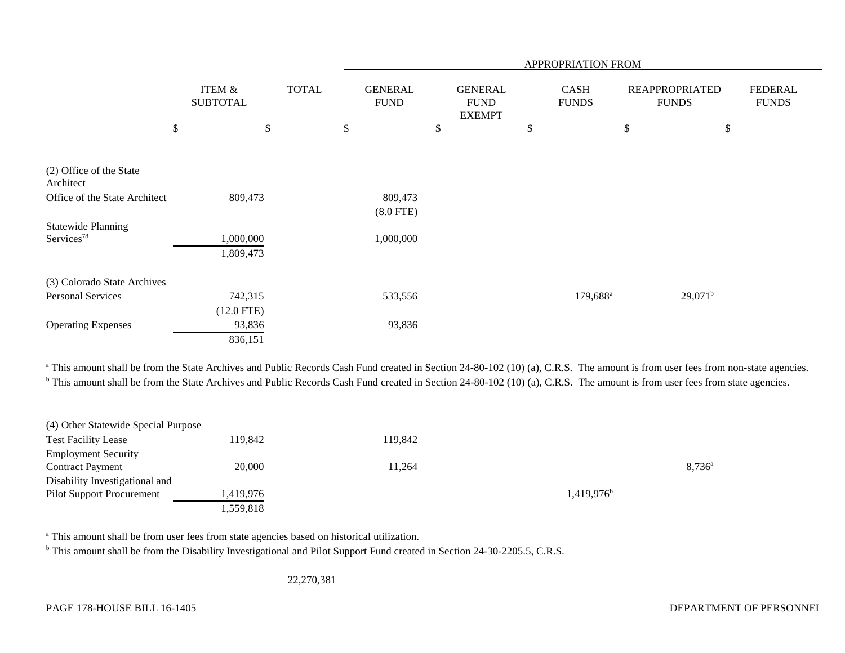|                               |                                      |              |                                | APPROPRIATION FROM                             |    |                             |                                       |                                |  |  |  |  |  |
|-------------------------------|--------------------------------------|--------------|--------------------------------|------------------------------------------------|----|-----------------------------|---------------------------------------|--------------------------------|--|--|--|--|--|
|                               | <b>ITEM &amp;</b><br><b>SUBTOTAL</b> | <b>TOTAL</b> | <b>GENERAL</b><br>${\rm FUND}$ | <b>GENERAL</b><br><b>FUND</b><br><b>EXEMPT</b> |    | <b>CASH</b><br><b>FUNDS</b> | <b>REAPPROPRIATED</b><br><b>FUNDS</b> | <b>FEDERAL</b><br><b>FUNDS</b> |  |  |  |  |  |
|                               | \$                                   | \$           | \$                             | \$                                             | \$ | \$                          | \$                                    |                                |  |  |  |  |  |
| (2) Office of the State       |                                      |              |                                |                                                |    |                             |                                       |                                |  |  |  |  |  |
| Architect                     |                                      |              |                                |                                                |    |                             |                                       |                                |  |  |  |  |  |
| Office of the State Architect | 809,473                              |              | 809,473                        |                                                |    |                             |                                       |                                |  |  |  |  |  |
|                               |                                      |              | $(8.0$ FTE)                    |                                                |    |                             |                                       |                                |  |  |  |  |  |
| <b>Statewide Planning</b>     |                                      |              |                                |                                                |    |                             |                                       |                                |  |  |  |  |  |
| Services <sup>78</sup>        | 1,000,000                            |              | 1,000,000                      |                                                |    |                             |                                       |                                |  |  |  |  |  |
|                               | 1,809,473                            |              |                                |                                                |    |                             |                                       |                                |  |  |  |  |  |
| (3) Colorado State Archives   |                                      |              |                                |                                                |    |                             |                                       |                                |  |  |  |  |  |
| <b>Personal Services</b>      | 742,315                              |              | 533,556                        |                                                |    | $179,688^{\rm a}$           | $29,071^b$                            |                                |  |  |  |  |  |
|                               | $(12.0$ FTE)                         |              |                                |                                                |    |                             |                                       |                                |  |  |  |  |  |
| <b>Operating Expenses</b>     | 93,836                               |              | 93,836                         |                                                |    |                             |                                       |                                |  |  |  |  |  |
|                               | 836,151                              |              |                                |                                                |    |                             |                                       |                                |  |  |  |  |  |

<sup>a</sup> This amount shall be from the State Archives and Public Records Cash Fund created in Section 24-80-102 (10) (a), C.R.S. The amount is from user fees from non-state agencies. <sup>b</sup> This amount shall be from the State Archives and Public Records Cash Fund created in Section 24-80-102 (10) (a), C.R.S. The amount is from user fees from state agencies.

| (4) Other Statewide Special Purpose |           |         |                        |                 |
|-------------------------------------|-----------|---------|------------------------|-----------------|
| <b>Test Facility Lease</b>          | 119,842   | 119,842 |                        |                 |
| <b>Employment Security</b>          |           |         |                        |                 |
| <b>Contract Payment</b>             | 20,000    | 11,264  |                        | $8.736^{\circ}$ |
| Disability Investigational and      |           |         |                        |                 |
| <b>Pilot Support Procurement</b>    | 1,419,976 |         | 1,419,976 <sup>b</sup> |                 |
|                                     | 1,559,818 |         |                        |                 |

<sup>a</sup> This amount shall be from user fees from state agencies based on historical utilization.

<sup>b</sup> This amount shall be from the Disability Investigational and Pilot Support Fund created in Section 24-30-2205.5, C.R.S.

22,270,381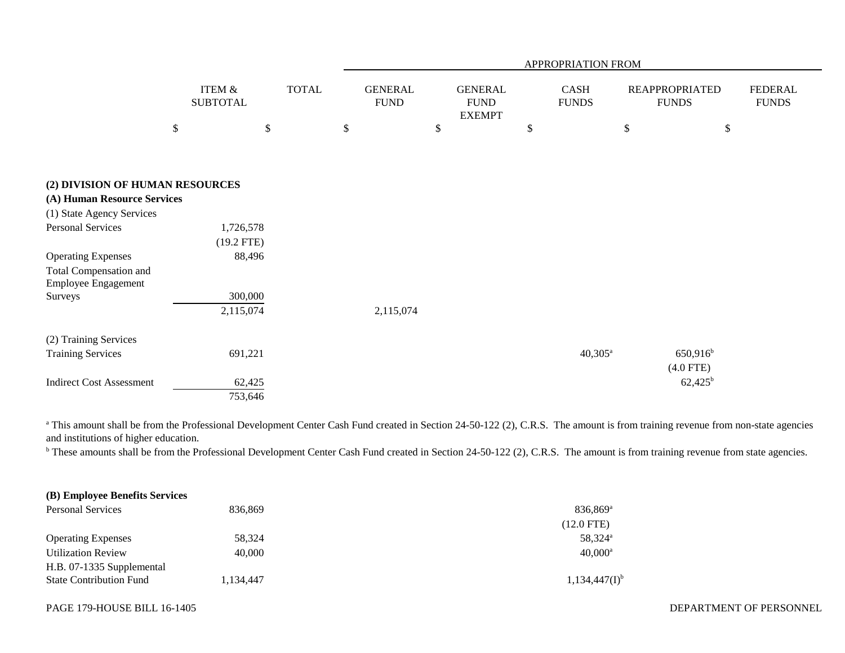|                                                             |                                      |                           |                               |                                                | APPROPRIATION FROM          |      |                                       |                                |
|-------------------------------------------------------------|--------------------------------------|---------------------------|-------------------------------|------------------------------------------------|-----------------------------|------|---------------------------------------|--------------------------------|
|                                                             | <b>ITEM &amp;</b><br><b>SUBTOTAL</b> | <b>TOTAL</b>              | <b>GENERAL</b><br><b>FUND</b> | <b>GENERAL</b><br><b>FUND</b><br><b>EXEMPT</b> | <b>CASH</b><br><b>FUNDS</b> |      | <b>REAPPROPRIATED</b><br><b>FUNDS</b> | <b>FEDERAL</b><br><b>FUNDS</b> |
|                                                             | \$                                   | $\boldsymbol{\mathsf{S}}$ | \$                            | \$                                             | \$                          | $\$$ | \$                                    |                                |
| (2) DIVISION OF HUMAN RESOURCES                             |                                      |                           |                               |                                                |                             |      |                                       |                                |
| (A) Human Resource Services                                 |                                      |                           |                               |                                                |                             |      |                                       |                                |
| (1) State Agency Services                                   |                                      |                           |                               |                                                |                             |      |                                       |                                |
| <b>Personal Services</b>                                    | 1,726,578                            |                           |                               |                                                |                             |      |                                       |                                |
|                                                             | $(19.2$ FTE)                         |                           |                               |                                                |                             |      |                                       |                                |
| <b>Operating Expenses</b>                                   | 88,496                               |                           |                               |                                                |                             |      |                                       |                                |
| <b>Total Compensation and</b><br><b>Employee Engagement</b> |                                      |                           |                               |                                                |                             |      |                                       |                                |
| Surveys                                                     | 300,000                              |                           |                               |                                                |                             |      |                                       |                                |
|                                                             | 2,115,074                            |                           | 2,115,074                     |                                                |                             |      |                                       |                                |
| (2) Training Services                                       |                                      |                           |                               |                                                |                             |      |                                       |                                |
| <b>Training Services</b>                                    | 691,221                              |                           |                               |                                                | $40,305^{\rm a}$            |      | $650,916$ <sup>b</sup>                |                                |
|                                                             |                                      |                           |                               |                                                |                             |      | $(4.0$ FTE)                           |                                |
| <b>Indirect Cost Assessment</b>                             | 62,425                               |                           |                               |                                                |                             |      | $62,425^b$                            |                                |
|                                                             | 753,646                              |                           |                               |                                                |                             |      |                                       |                                |

<sup>a</sup> This amount shall be from the Professional Development Center Cash Fund created in Section 24-50-122 (2), C.R.S. The amount is from training revenue from non-state agencies and institutions of higher education.

<sup>b</sup> These amounts shall be from the Professional Development Center Cash Fund created in Section 24-50-122 (2), C.R.S. The amount is from training revenue from state agencies.

# **(B) Employee Benefits Services**

| <b>Personal Services</b>       | 836.869   | $836.869$ <sup>a</sup> |
|--------------------------------|-----------|------------------------|
|                                |           | $(12.0$ FTE)           |
| <b>Operating Expenses</b>      | 58.324    | 58.324 <sup>a</sup>    |
| <b>Utilization Review</b>      | 40,000    | $40.000^{\rm a}$       |
| H.B. 07-1335 Supplemental      |           |                        |
| <b>State Contribution Fund</b> | 1,134,447 | $1,134,447(I)^{b}$     |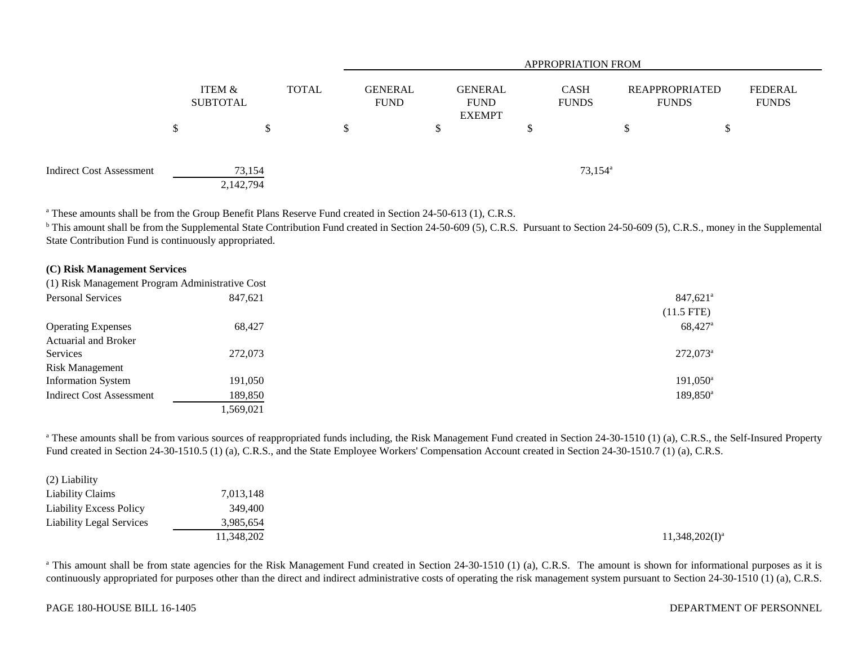|                                 |                     |              |  |                               | <b>APPROPRIATION FROM</b> |                                                |  |  |                             |                                       |   |                         |  |
|---------------------------------|---------------------|--------------|--|-------------------------------|---------------------------|------------------------------------------------|--|--|-----------------------------|---------------------------------------|---|-------------------------|--|
|                                 | ITEM &<br>SUBTOTAL  | <b>TOTAL</b> |  | <b>GENERAL</b><br><b>FUND</b> |                           | <b>GENERAL</b><br><b>FUND</b><br><b>EXEMPT</b> |  |  | <b>CASH</b><br><b>FUNDS</b> | <b>REAPPROPRIATED</b><br><b>FUNDS</b> |   | FEDERAL<br><b>FUNDS</b> |  |
|                                 |                     | ◡            |  |                               |                           | D                                              |  |  |                             | S                                     | Φ |                         |  |
| <b>Indirect Cost Assessment</b> | 73,154<br>2,142,794 |              |  |                               |                           |                                                |  |  | $73,154^{\circ}$            |                                       |   |                         |  |

<sup>a</sup> These amounts shall be from the Group Benefit Plans Reserve Fund created in Section 24-50-613 (1), C.R.S.

<sup>b</sup> This amount shall be from the Supplemental State Contribution Fund created in Section 24-50-609 (5), C.R.S. Pursuant to Section 24-50-609 (5), C.R.S., money in the Supplemental State Contribution Fund is continuously appropriated.

## **(C) Risk Management Services**

| (1) Risk Management Program Administrative Cost |           |                        |
|-------------------------------------------------|-----------|------------------------|
| <b>Personal Services</b>                        | 847,621   | $847,621^\circ$        |
|                                                 |           | $(11.5$ FTE)           |
| <b>Operating Expenses</b>                       | 68,427    | 68,427 <sup>a</sup>    |
| <b>Actuarial and Broker</b>                     |           |                        |
| Services                                        | 272,073   | $272,073$ <sup>a</sup> |
| <b>Risk Management</b>                          |           |                        |
| <b>Information System</b>                       | 191,050   | 191,050 <sup>a</sup>   |
| <b>Indirect Cost Assessment</b>                 | 189,850   | 189,850 <sup>a</sup>   |
|                                                 | 1,569,021 |                        |

<sup>a</sup> These amounts shall be from various sources of reappropriated funds including, the Risk Management Fund created in Section 24-30-1510 (1) (a), C.R.S., the Self-Insured Property Fund created in Section 24-30-1510.5 (1) (a), C.R.S., and the State Employee Workers' Compensation Account created in Section 24-30-1510.7 (1) (a), C.R.S.

| (2) Liability                   |            |
|---------------------------------|------------|
| <b>Liability Claims</b>         | 7,013,148  |
| <b>Liability Excess Policy</b>  | 349,400    |
| <b>Liability Legal Services</b> | 3,985,654  |
|                                 | 11,348,202 |

<sup>a</sup> This amount shall be from state agencies for the Risk Management Fund created in Section 24-30-1510 (1) (a), C.R.S. The amount is shown for informational purposes as it is continuously appropriated for purposes other than the direct and indirect administrative costs of operating the risk management system pursuant to Section 24-30-1510 (1) (a), C.R.S.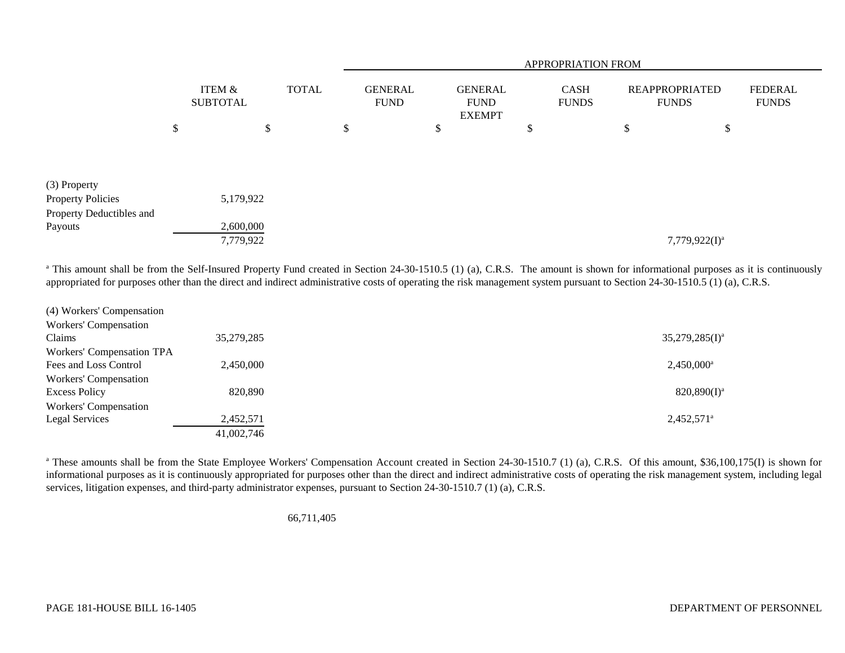|                                     |                           |    |              |                               | <b>APPROPRIATION FROM</b> |    |                                                |    |                             |                                       |                  |                                |  |  |
|-------------------------------------|---------------------------|----|--------------|-------------------------------|---------------------------|----|------------------------------------------------|----|-----------------------------|---------------------------------------|------------------|--------------------------------|--|--|
|                                     | ITEM &<br><b>SUBTOTAL</b> |    | <b>TOTAL</b> | <b>GENERAL</b><br><b>FUND</b> |                           |    | <b>GENERAL</b><br><b>FUND</b><br><b>EXEMPT</b> |    | <b>CASH</b><br><b>FUNDS</b> | <b>REAPPROPRIATED</b><br><b>FUNDS</b> |                  | <b>FEDERAL</b><br><b>FUNDS</b> |  |  |
|                                     | \$                        | \$ |              | \$                            |                           | D. |                                                | \$ |                             | \$                                    | ¢<br>Φ           |                                |  |  |
|                                     |                           |    |              |                               |                           |    |                                                |    |                             |                                       |                  |                                |  |  |
| (3) Property                        |                           |    |              |                               |                           |    |                                                |    |                             |                                       |                  |                                |  |  |
| <b>Property Policies</b>            | 5,179,922                 |    |              |                               |                           |    |                                                |    |                             |                                       |                  |                                |  |  |
| Property Deductibles and<br>Payouts | 2,600,000                 |    |              |                               |                           |    |                                                |    |                             |                                       |                  |                                |  |  |
|                                     | 7,779,922                 |    |              |                               |                           |    |                                                |    |                             |                                       | $7,779,922(I)^a$ |                                |  |  |

<sup>a</sup> This amount shall be from the Self-Insured Property Fund created in Section 24-30-1510.5 (1) (a), C.R.S. The amount is shown for informational purposes as it is continuously appropriated for purposes other than the direct and indirect administrative costs of operating the risk management system pursuant to Section 24-30-1510.5 (1) (a), C.R.S.

| (4) Workers' Compensation        |            |                     |
|----------------------------------|------------|---------------------|
| Workers' Compensation            |            |                     |
| Claims                           | 35,279,285 | $35,279,285(I)^a$   |
| <b>Workers' Compensation TPA</b> |            |                     |
| Fees and Loss Control            | 2,450,000  | $2,450,000^a$       |
| Workers' Compensation            |            |                     |
| <b>Excess Policy</b>             | 820,890    | $820,890(1)^a$      |
| <b>Workers' Compensation</b>     |            |                     |
| Legal Services                   | 2,452,571  | $2,452,571^{\circ}$ |
|                                  | 41,002,746 |                     |

<sup>a</sup> These amounts shall be from the State Employee Workers' Compensation Account created in Section 24-30-1510.7 (1) (a), C.R.S. Of this amount, \$36,100,175(I) is shown for informational purposes as it is continuously appropriated for purposes other than the direct and indirect administrative costs of operating the risk management system, including legal services, litigation expenses, and third-party administrator expenses, pursuant to Section 24-30-1510.7 (1) (a), C.R.S.

66,711,405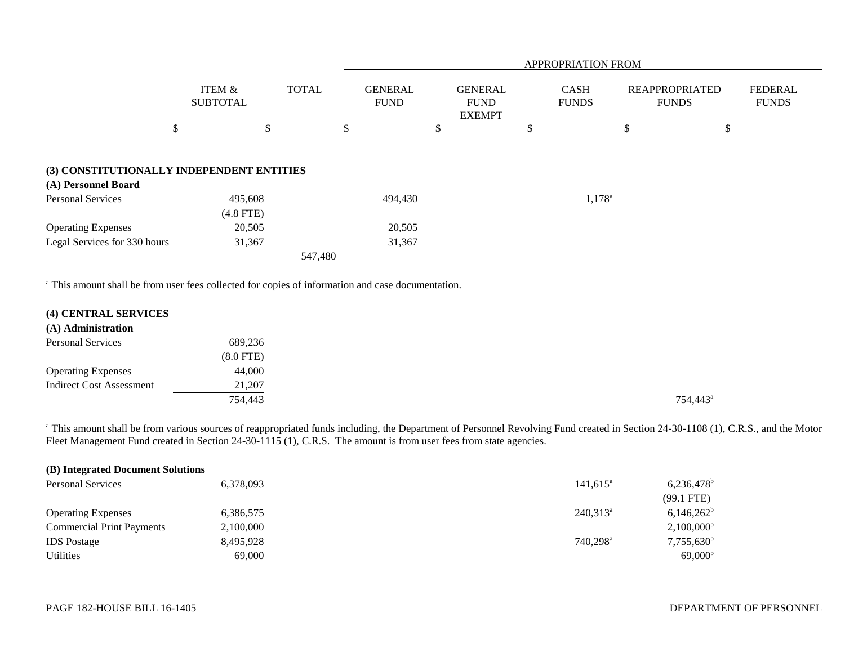|                                                                  |                                      | <b>APPROPRIATION FROM</b> |                               |                                                |                             |                 |                                       |                                |
|------------------------------------------------------------------|--------------------------------------|---------------------------|-------------------------------|------------------------------------------------|-----------------------------|-----------------|---------------------------------------|--------------------------------|
|                                                                  | <b>ITEM &amp;</b><br><b>SUBTOTAL</b> | <b>TOTAL</b>              | <b>GENERAL</b><br><b>FUND</b> | <b>GENERAL</b><br><b>FUND</b><br><b>EXEMPT</b> | <b>CASH</b><br><b>FUNDS</b> |                 | <b>REAPPROPRIATED</b><br><b>FUNDS</b> | <b>FEDERAL</b><br><b>FUNDS</b> |
|                                                                  | \$                                   | \$                        | \$                            | $\mathcal{S}$                                  | \$                          | \$              | \$                                    |                                |
| (3) CONSTITUTIONALLY INDEPENDENT ENTITIES<br>(A) Personnel Board |                                      |                           |                               |                                                |                             |                 |                                       |                                |
| <b>Personal Services</b>                                         | 495,608<br>$(4.8$ FTE)               |                           | 494,430                       |                                                |                             | $1,178^{\circ}$ |                                       |                                |
| <b>Operating Expenses</b>                                        | 20,505                               |                           | 20,505                        |                                                |                             |                 |                                       |                                |
| Legal Services for 330 hours                                     | 31,367                               |                           | 31,367                        |                                                |                             |                 |                                       |                                |
|                                                                  |                                      | 547,480                   |                               |                                                |                             |                 |                                       |                                |

<sup>a</sup> This amount shall be from user fees collected for copies of information and case documentation.

| (4) CENTRAL SERVICES |  |
|----------------------|--|
|                      |  |

| (A) Administration |  |
|--------------------|--|
|--------------------|--|

| <b>Personal Services</b>        | 689,236     |                      |
|---------------------------------|-------------|----------------------|
|                                 | $(8.0$ FTE) |                      |
| <b>Operating Expenses</b>       | 44,000      |                      |
| <b>Indirect Cost Assessment</b> | 21,207      |                      |
|                                 | 754,443     | 754,443 <sup>a</sup> |

<sup>a</sup> This amount shall be from various sources of reappropriated funds including, the Department of Personnel Revolving Fund created in Section 24-30-1108 (1), C.R.S., and the Motor Fleet Management Fund created in Section 24-30-1115 (1), C.R.S. The amount is from user fees from state agencies.

| (B) Integrated Document Solutions |           |                      |                          |
|-----------------------------------|-----------|----------------------|--------------------------|
| <b>Personal Services</b>          | 6,378,093 | $141,615^{\circ}$    | $6,236,478$ <sup>b</sup> |
|                                   |           |                      | $(99.1$ FTE)             |
| <b>Operating Expenses</b>         | 6,386,575 | $240,313^a$          | $6,146,262^b$            |
| <b>Commercial Print Payments</b>  | 2,100,000 |                      | $2,100,000^{\rm b}$      |
| <b>IDS</b> Postage                | 8,495,928 | 740,298 <sup>a</sup> | $7,755,630^b$            |
| <b>Utilities</b>                  | 69,000    |                      | 69,000 <sup>b</sup>      |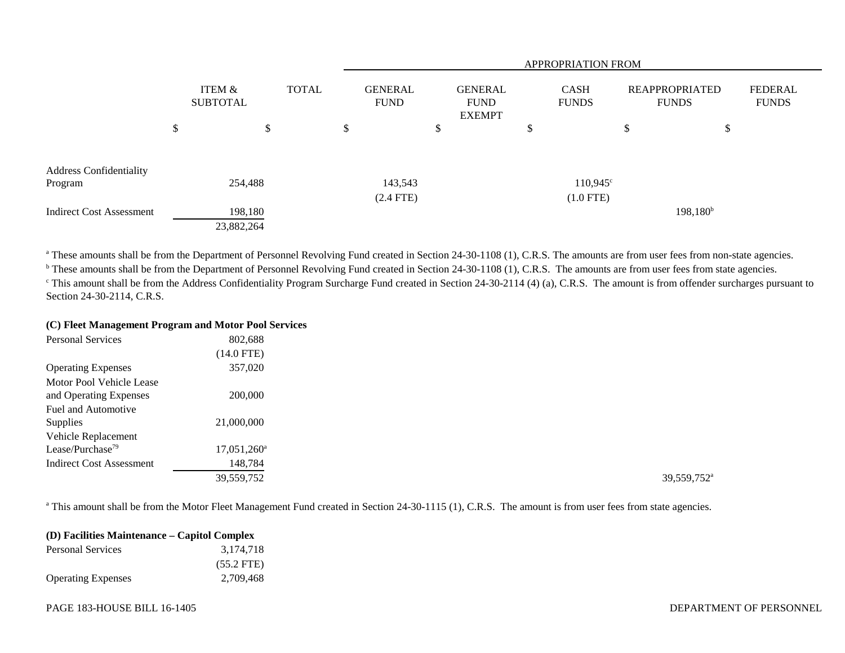|                                 |    |                           |        |              |    | <b>APPROPRIATION FROM</b>     |    |                                                |   |                             |                                       |             |    |                         |
|---------------------------------|----|---------------------------|--------|--------------|----|-------------------------------|----|------------------------------------------------|---|-----------------------------|---------------------------------------|-------------|----|-------------------------|
|                                 |    | ITEM &<br><b>SUBTOTAL</b> |        | <b>TOTAL</b> |    | <b>GENERAL</b><br><b>FUND</b> |    | <b>GENERAL</b><br><b>FUND</b><br><b>EXEMPT</b> |   | <b>CASH</b><br><b>FUNDS</b> | <b>REAPPROPRIATED</b><br><b>FUNDS</b> |             |    | FEDERAL<br><b>FUNDS</b> |
|                                 | \$ |                           | ⊄<br>Φ |              | \$ |                               | \$ |                                                | ◡ |                             | \$                                    |             | \$ |                         |
| <b>Address Confidentiality</b>  |    |                           |        |              |    |                               |    |                                                |   |                             |                                       |             |    |                         |
| Program                         |    | 254,488                   |        |              |    | 143,543                       |    |                                                |   | $110,945^{\circ}$           |                                       |             |    |                         |
|                                 |    |                           |        |              |    | $(2.4$ FTE)                   |    |                                                |   | $(1.0$ FTE)                 |                                       |             |    |                         |
| <b>Indirect Cost Assessment</b> |    | 198,180                   |        |              |    |                               |    |                                                |   |                             |                                       | $198,180^b$ |    |                         |
|                                 |    | 23,882,264                |        |              |    |                               |    |                                                |   |                             |                                       |             |    |                         |

<sup>a</sup> These amounts shall be from the Department of Personnel Revolving Fund created in Section 24-30-1108 (1), C.R.S. The amounts are from user fees from non-state agencies.

<sup>b</sup> These amounts shall be from the Department of Personnel Revolving Fund created in Section 24-30-1108 (1), C.R.S. The amounts are from user fees from state agencies. <sup>c</sup> This amount shall be from the Address Confidentiality Program Surcharge Fund created in Section 24-30-2114 (4) (a), C.R.S. The amount is from offender surcharges pursuant to Section 24-30-2114, C.R.S.

#### **(C) Fleet Management Program and Motor Pool Services**

| <b>Personal Services</b>        | 802,688              |                         |
|---------------------------------|----------------------|-------------------------|
|                                 | $(14.0$ FTE)         |                         |
| <b>Operating Expenses</b>       | 357,020              |                         |
| Motor Pool Vehicle Lease        |                      |                         |
| and Operating Expenses          | 200,000              |                         |
| Fuel and Automotive             |                      |                         |
| Supplies                        | 21,000,000           |                         |
| Vehicle Replacement             |                      |                         |
| Lease/Purchase <sup>79</sup>    | $17,051,260^{\circ}$ |                         |
| <b>Indirect Cost Assessment</b> | 148,784              |                         |
|                                 | 39,559,752           | 39,559,752 <sup>a</sup> |

<sup>a</sup> This amount shall be from the Motor Fleet Management Fund created in Section 24-30-1115 (1), C.R.S. The amount is from user fees from state agencies.

| (D) Facilities Maintenance – Capitol Complex |              |  |  |  |
|----------------------------------------------|--------------|--|--|--|
| <b>Personal Services</b>                     | 3.174.718    |  |  |  |
|                                              | $(55.2$ FTE) |  |  |  |
| <b>Operating Expenses</b>                    | 2.709.468    |  |  |  |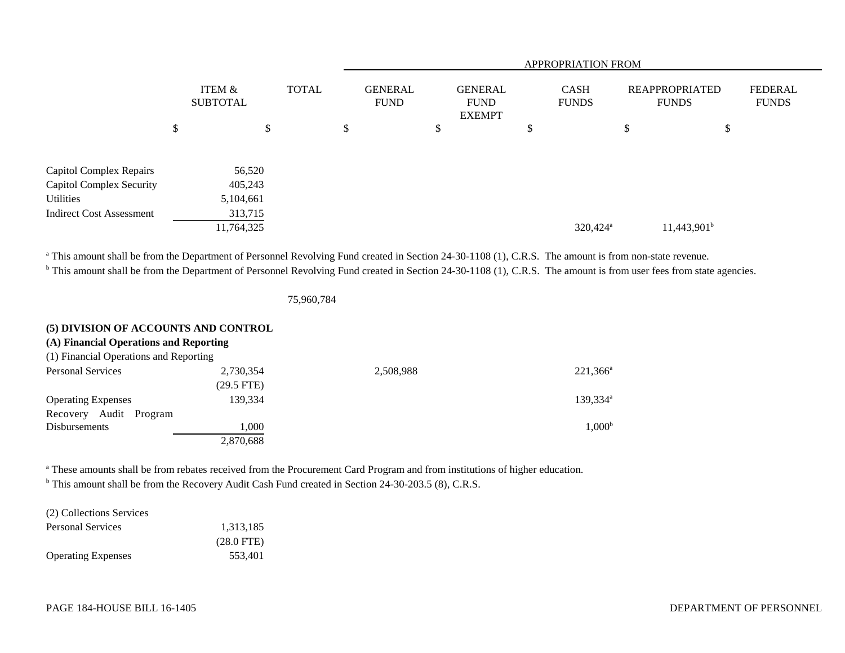|                                 |                           |            |              |  |    | <b>APPROPRIATION FROM</b>     |    |                                                |    |                             |             |                                       |                                |  |
|---------------------------------|---------------------------|------------|--------------|--|----|-------------------------------|----|------------------------------------------------|----|-----------------------------|-------------|---------------------------------------|--------------------------------|--|
|                                 | ITEM &<br><b>SUBTOTAL</b> |            | <b>TOTAL</b> |  |    | <b>GENERAL</b><br><b>FUND</b> |    | <b>GENERAL</b><br><b>FUND</b><br><b>EXEMPT</b> |    | <b>CASH</b><br><b>FUNDS</b> |             | <b>REAPPROPRIATED</b><br><b>FUNDS</b> | <b>FEDERAL</b><br><b>FUNDS</b> |  |
|                                 | \$                        |            | \$           |  | \$ |                               | \$ |                                                | \$ |                             | $\Phi$<br>D | \$                                    |                                |  |
| Capitol Complex Repairs         |                           | 56,520     |              |  |    |                               |    |                                                |    |                             |             |                                       |                                |  |
| Capitol Complex Security        |                           | 405,243    |              |  |    |                               |    |                                                |    |                             |             |                                       |                                |  |
| Utilities                       |                           | 5,104,661  |              |  |    |                               |    |                                                |    |                             |             |                                       |                                |  |
| <b>Indirect Cost Assessment</b> |                           | 313,715    |              |  |    |                               |    |                                                |    |                             |             |                                       |                                |  |
|                                 |                           | 11,764,325 |              |  |    |                               |    |                                                |    | $320,424$ <sup>a</sup>      |             | $11,443,901^b$                        |                                |  |

<sup>a</sup> This amount shall be from the Department of Personnel Revolving Fund created in Section 24-30-1108 (1), C.R.S. The amount is from non-state revenue.

<sup>b</sup> This amount shall be from the Department of Personnel Revolving Fund created in Section 24-30-1108 (1), C.R.S. The amount is from user fees from state agencies.

75,960,784

## **(5) DIVISION OF ACCOUNTS AND CONTROL**

|  |  | (A) Financial Operations and Reporting |
|--|--|----------------------------------------|
|--|--|----------------------------------------|

| (1) Financial Operations and Reporting |              |           |                      |
|----------------------------------------|--------------|-----------|----------------------|
| <b>Personal Services</b>               | 2,730,354    | 2,508,988 | $221,366^a$          |
|                                        | $(29.5$ FTE) |           |                      |
| <b>Operating Expenses</b>              | 139.334      |           | 139,334 <sup>a</sup> |
| Audit Program<br>Recovery              |              |           |                      |
| Disbursements                          | 000.1        |           | $1,000^{\rm b}$      |
|                                        | 2,870,688    |           |                      |

<sup>a</sup> These amounts shall be from rebates received from the Procurement Card Program and from institutions of higher education.

<sup>b</sup> This amount shall be from the Recovery Audit Cash Fund created in Section 24-30-203.5 (8), C.R.S.

(2) Collections Services

| Personal Services         | 1,313,185            |
|---------------------------|----------------------|
|                           | $(28.0 \text{ FTE})$ |
| <b>Operating Expenses</b> | 553.401              |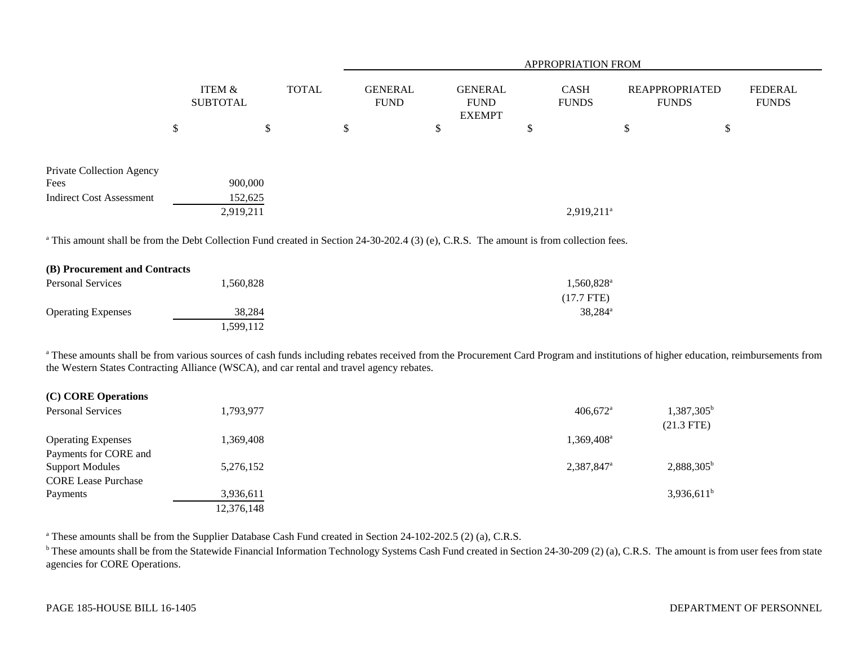|                                 |                           |              | <b>APPROPRIATION FROM</b>     |    |                                                |   |                             |    |                                |                         |  |
|---------------------------------|---------------------------|--------------|-------------------------------|----|------------------------------------------------|---|-----------------------------|----|--------------------------------|-------------------------|--|
|                                 | ITEM &<br><b>SUBTOTAL</b> | <b>TOTAL</b> | <b>GENERAL</b><br><b>FUND</b> |    | <b>GENERAL</b><br><b>FUND</b><br><b>EXEMPT</b> |   | <b>CASH</b><br><b>FUNDS</b> |    | REAPPROPRIATED<br><b>FUNDS</b> | FEDERAL<br><b>FUNDS</b> |  |
|                                 | \$                        | \$           | \$                            | \$ |                                                | P |                             | \$ | \$                             |                         |  |
| Private Collection Agency       |                           |              |                               |    |                                                |   |                             |    |                                |                         |  |
| Fees                            | 900,000                   |              |                               |    |                                                |   |                             |    |                                |                         |  |
| <b>Indirect Cost Assessment</b> | 152,625                   |              |                               |    |                                                |   |                             |    |                                |                         |  |
|                                 | 2,919,211                 |              |                               |    |                                                |   | $2,919,211^a$               |    |                                |                         |  |

<sup>a</sup> This amount shall be from the Debt Collection Fund created in Section 24-30-202.4 (3) (e), C.R.S. The amount is from collection fees.

| (B) Procurement and Contracts |           |                      |
|-------------------------------|-----------|----------------------|
| <b>Personal Services</b>      | 1,560,828 | 1,560,828            |
|                               |           | $(17.7 \text{ FTE})$ |
| <b>Operating Expenses</b>     | 38.284    | 38.284 <sup>a</sup>  |
|                               | .599,112  |                      |

<sup>a</sup> These amounts shall be from various sources of cash funds including rebates received from the Procurement Card Program and institutions of higher education, reimbursements from the Western States Contracting Alliance (WSCA), and car rental and travel agency rebates.

| (C) CORE Operations                                  |            |                        |                                     |
|------------------------------------------------------|------------|------------------------|-------------------------------------|
| <b>Personal Services</b>                             | 1,793,977  | $406.672$ <sup>a</sup> | $1,387,305^{\rm b}$<br>$(21.3$ FTE) |
| <b>Operating Expenses</b><br>Payments for CORE and   | 1,369,408  | 1.369.408 <sup>a</sup> |                                     |
| <b>Support Modules</b><br><b>CORE Lease Purchase</b> | 5,276,152  | 2,387,847 <sup>a</sup> | $2,888,305^{\rm b}$                 |
| Payments                                             | 3,936,611  |                        | $3,936,611$ <sup>b</sup>            |
|                                                      | 12,376,148 |                        |                                     |

<sup>a</sup> These amounts shall be from the Supplier Database Cash Fund created in Section 24-102-202.5 (2) (a), C.R.S.

<sup>b</sup> These amounts shall be from the Statewide Financial Information Technology Systems Cash Fund created in Section 24-30-209 (2) (a), C.R.S. The amount is from user fees from state agencies for CORE Operations.